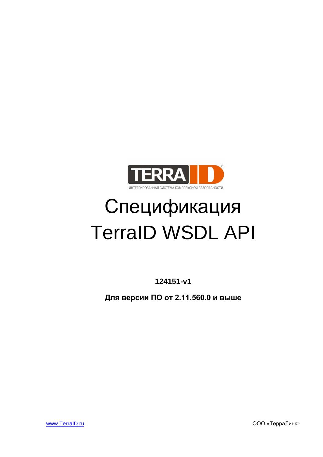

# Спецификация TerraID WSDL API

**124151-v1** 

**Для версии ПО от 2.11.560.0 и выше**

www.TerraID.ru ООО «ТерраЛинк»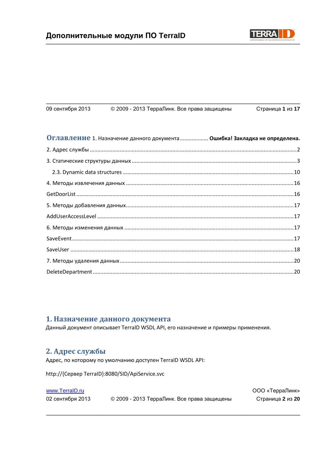

ООО «ТерраЛинк»

| 09 сентября 2013 | © 2009 - 2013 ТерраЛинк. Все права защищены | Страница 1 из 17 |
|------------------|---------------------------------------------|------------------|
|                  |                                             |                  |

| ОГЛАВЛЕНИЕ 1. Назначение данного документа Ошибка! Закладка не определена. |  |
|----------------------------------------------------------------------------|--|
|                                                                            |  |
|                                                                            |  |
|                                                                            |  |
|                                                                            |  |
|                                                                            |  |
|                                                                            |  |
|                                                                            |  |
|                                                                            |  |
|                                                                            |  |
|                                                                            |  |
|                                                                            |  |
|                                                                            |  |

### 1. Назначение данного документа

Данный документ описывает TerraID WSDL API, его назначение и примеры применения.

## <span id="page-1-0"></span>2. Адрес службы

Адрес, по которому по умолчанию доступен TerraID WSDL API:

http://{Сервер TerraID}:8080/SID/ApiService.svc

#### www.TerralD.ru

02 сентября 2013 © 2009 - 2013 ТерраЛинк. Все права защищены Страница 2 из 20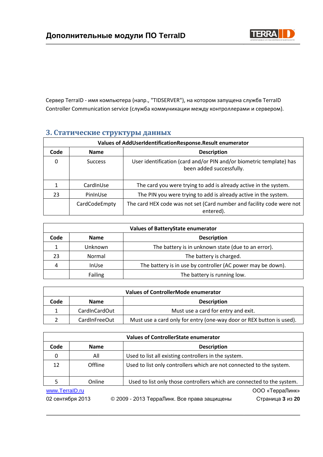

Сервер TerraID - имя компьютера (напр., "TIDSERVER"), на котором запущена службв TerraID Controller Communication service (служба коммуникации между контроллерами и сервером).

## <span id="page-2-0"></span>**3. Статические структуры данных**

| Values of AddUserIdentificationResponse.Result enumerator |                                   |                                                                                                 |  |
|-----------------------------------------------------------|-----------------------------------|-------------------------------------------------------------------------------------------------|--|
| Code                                                      | <b>Description</b><br><b>Name</b> |                                                                                                 |  |
| $\Omega$                                                  | <b>Success</b>                    | User identification (card and/or PIN and/or biometric template) has<br>been added successfully. |  |
|                                                           | CardInUse                         | The card you were trying to add is already active in the system.                                |  |
| 23                                                        | PinInUse                          | The PIN you were trying to add is already active in the system.                                 |  |
|                                                           | CardCodeEmpty                     | The card HEX code was not set (Card number and facility code were not<br>entered).              |  |

| <b>Values of BatteryState enumerator</b> |                |                                                             |
|------------------------------------------|----------------|-------------------------------------------------------------|
| Code                                     | <b>Name</b>    | <b>Description</b>                                          |
|                                          | Unknown        | The battery is in unknown state (due to an error).          |
| 23                                       | Normal         | The battery is charged.                                     |
| 4                                        | <b>InUse</b>   | The battery is in use by controller (AC power may be down). |
|                                          | <b>Failing</b> | The battery is running low.                                 |

| <b>Values of ControllerMode enumerator</b> |               |                                                                      |
|--------------------------------------------|---------------|----------------------------------------------------------------------|
| Code                                       | <b>Name</b>   | <b>Description</b>                                                   |
|                                            | CardInCardOut | Must use a card for entry and exit.                                  |
|                                            | CardInFreeOut | Must use a card only for entry (one-way door or REX button is used). |

| <b>Values of ControllerState enumerator</b> |             |  |                                                                        |                  |
|---------------------------------------------|-------------|--|------------------------------------------------------------------------|------------------|
| Code                                        | <b>Name</b> |  | <b>Description</b>                                                     |                  |
| 0                                           | All         |  | Used to list all existing controllers in the system.                   |                  |
| 12                                          | Offline     |  | Used to list only controllers which are not connected to the system.   |                  |
|                                             | Online      |  | Used to list only those controllers which are connected to the system. |                  |
| www.TerralD.ru                              |             |  |                                                                        | ООО «ТерраЛинк»  |
| 02 сентября 2013                            |             |  | © 2009 - 2013 ТерраЛинк. Все права защищены                            | Страница 3 из 20 |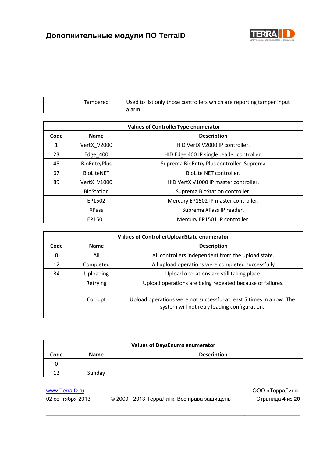

|  | Tampered | Used to list only those controllers which are reporting tamper input<br>alarm. |
|--|----------|--------------------------------------------------------------------------------|
|--|----------|--------------------------------------------------------------------------------|

| <b>Values of ControllerType enumerator</b> |                                   |                                           |  |
|--------------------------------------------|-----------------------------------|-------------------------------------------|--|
| Code                                       | <b>Description</b><br><b>Name</b> |                                           |  |
| 1                                          | VertX_V2000                       | HID VertX V2000 IP controller.            |  |
| 23                                         | Edge $400$                        | HID Edge 400 IP single reader controller. |  |
| 45                                         | <b>BioEntryPlus</b>               | Suprema BioEntry Plus controller. Suprema |  |
| 67                                         | <b>BioLiteNET</b>                 | BioLite NET controller.                   |  |
| 89                                         | VertX V1000                       | HID VertX V1000 IP master controller.     |  |
|                                            | <b>BioStation</b>                 | Suprema BioStation controller.            |  |
|                                            | EP1502                            | Mercury EP1502 IP master controller.      |  |
|                                            | <b>XPass</b>                      | Suprema XPass IP reader.                  |  |
|                                            | EP1501                            | Mercury EP1501 IP controller.             |  |

|                                           | V ilues of ControllerUploadState enumerator |                                                                                                                      |  |  |
|-------------------------------------------|---------------------------------------------|----------------------------------------------------------------------------------------------------------------------|--|--|
| <b>Description</b><br>Code<br><b>Name</b> |                                             |                                                                                                                      |  |  |
| 0                                         | All                                         | All controllers independent from the upload state.                                                                   |  |  |
| 12                                        | Completed                                   | All upload operations were completed successfully                                                                    |  |  |
| 34                                        | Uploading                                   | Upload operations are still taking place.                                                                            |  |  |
|                                           | Retrying                                    | Upload operations are being repeated because of failures.                                                            |  |  |
|                                           | Corrupt                                     | Upload operations were not successful at least 5 times in a row. The<br>system will not retry loading configuration. |  |  |

| <b>Values of DaysEnums enumerator</b> |             |                    |  |
|---------------------------------------|-------------|--------------------|--|
| Code                                  | <b>Name</b> | <b>Description</b> |  |
|                                       |             |                    |  |
| 17                                    | Sunday      |                    |  |

02 сентября 2013 © 2009 - 2013 ТерраЛинк. Все права защищены Страница **4** из **20**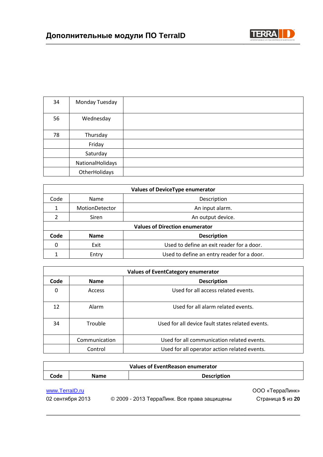

| 34 | Monday Tuesday   |  |
|----|------------------|--|
| 56 | Wednesday        |  |
| 78 | Thursday         |  |
|    | Friday           |  |
|    | Saturday         |  |
|    | NationalHolidays |  |
|    | OtherHolidays    |  |

| <b>Values of DeviceType enumerator</b> |                |                                            |
|----------------------------------------|----------------|--------------------------------------------|
| Code                                   | <b>Name</b>    | Description                                |
| 1                                      | MotionDetector | An input alarm.                            |
|                                        | Siren          | An output device.                          |
| <b>Values of Direction enumerator</b>  |                |                                            |
| Code                                   | <b>Name</b>    | <b>Description</b>                         |
| $\Omega$                               | Exit           | Used to define an exit reader for a door.  |
|                                        | Entry          | Used to define an entry reader for a door. |

| <b>Values of EventCategory enumerator</b> |               |                                                  |
|-------------------------------------------|---------------|--------------------------------------------------|
| Code                                      | <b>Name</b>   | <b>Description</b>                               |
| $\Omega$                                  | Access        | Used for all access related events.              |
| 12                                        | Alarm         | Used for all alarm related events.               |
| 34                                        | Trouble       | Used for all device fault states related events. |
|                                           | Communication | Used for all communication related events.       |
|                                           | Control       | Used for all operator action related events.     |

| <b>Values of EventReason enumerator</b> |             |  |                                             |                                     |
|-----------------------------------------|-------------|--|---------------------------------------------|-------------------------------------|
| Code                                    | <b>Name</b> |  | <b>Description</b>                          |                                     |
| www.TerralD.ru<br>02 сентября 2013      |             |  | © 2009 - 2013 ТерраЛинк. Все права защищены | ООО «ТерраЛинк»<br>Страница 5 из 20 |

J.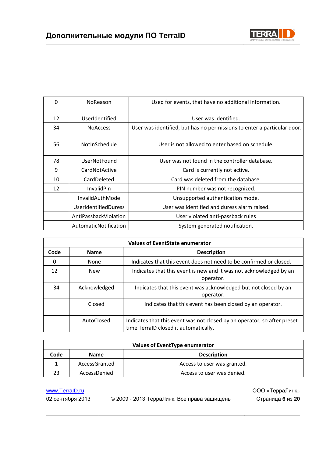

| $\Omega$ | NoReason                    | Used for events, that have no additional information.                   |
|----------|-----------------------------|-------------------------------------------------------------------------|
| 12       | UserIdentified              | User was identified.                                                    |
| 34       | <b>NoAccess</b>             | User was identified, but has no permissions to enter a particular door. |
| 56       | NotInSchedule               | User is not allowed to enter based on schedule.                         |
| 78       | UserNotFound                | User was not found in the controller database.                          |
| 9        | CardNotActive               | Card is currently not active.                                           |
| 10       | CardDeleted                 | Card was deleted from the database.                                     |
| 12       | <b>InvalidPin</b>           | PIN number was not recognized.                                          |
|          | InvalidAuthMode             | Unsupported authentication mode.                                        |
|          | <b>UserIdentifiedDuress</b> | User was identified and duress alarm raised.                            |
|          | AntiPassbackViolation       | User violated anti-passback rules                                       |
|          | AutomaticNotification       | System generated notification.                                          |

| <b>Values of EventState enumerator</b> |              |                                                                                                                   |
|----------------------------------------|--------------|-------------------------------------------------------------------------------------------------------------------|
| Code                                   | <b>Name</b>  | <b>Description</b>                                                                                                |
| 0                                      | None         | Indicates that this event does not need to be confirmed or closed.                                                |
| 12                                     | <b>New</b>   | Indicates that this event is new and it was not acknowledged by an<br>operator.                                   |
| 34                                     | Acknowledged | Indicates that this event was acknowledged but not closed by an<br>operator.                                      |
|                                        | Closed       | Indicates that this event has been closed by an operator.                                                         |
|                                        | AutoClosed   | Indicates that this event was not closed by an operator, so after preset<br>time TerraID closed it automatically. |

| <b>Values of EventType enumerator</b> |               |                             |  |
|---------------------------------------|---------------|-----------------------------|--|
| Code                                  | <b>Name</b>   | <b>Description</b>          |  |
|                                       | AccessGranted | Access to user was granted. |  |
| 23                                    | AccessDenied  | Access to user was denied.  |  |

02 сентября 2013 © 2009 - 2013 ТерраЛинк. Все права защищены Страница **6** из **20**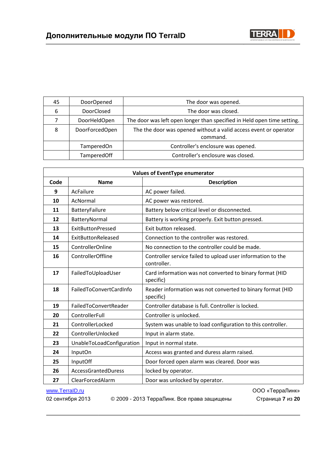

| 45 | <b>DoorOpened</b> | The door was opened.                                                         |
|----|-------------------|------------------------------------------------------------------------------|
| 6  | <b>DoorClosed</b> | The door was closed.                                                         |
|    | DoorHeldOpen      | The door was left open longer than specified in Held open time setting.      |
| 8  | DoorForcedOpen    | The the door was opened without a valid access event or operator<br>command. |
|    | <b>TamperedOn</b> | Controller's enclosure was opened.                                           |
|    | TamperedOff       | Controller's enclosure was closed.                                           |

| <b>Values of EventType enumerator</b> |                           |                                                                            |  |
|---------------------------------------|---------------------------|----------------------------------------------------------------------------|--|
| Code                                  | <b>Name</b>               | <b>Description</b>                                                         |  |
| 9                                     | AcFailure                 | AC power failed.                                                           |  |
| 10                                    | AcNormal                  | AC power was restored.                                                     |  |
| 11                                    | BatteryFailure            | Battery below critical level or disconnected.                              |  |
| 12                                    | BatteryNormal             | Battery is working properly. Exit button pressed.                          |  |
| 13                                    | <b>ExitButtonPressed</b>  | Exit button released.                                                      |  |
| 14                                    | ExitButtonReleased        | Connection to the controller was restored.                                 |  |
| 15                                    | ControllerOnline          | No connection to the controller could be made.                             |  |
| 16                                    | ControllerOffline         | Controller service failed to upload user information to the<br>controller. |  |
| 17                                    | FailedToUploadUser        | Card information was not converted to binary format (HID<br>specific)      |  |
| 18                                    | FailedToConvertCardInfo   | Reader information was not converted to binary format (HID<br>specific)    |  |
| 19                                    | FailedToConvertReader     | Controller database is full. Controller is locked.                         |  |
| 20                                    | ControllerFull            | Controller is unlocked.                                                    |  |
| 21                                    | ControllerLocked          | System was unable to load configuration to this controller.                |  |
| 22                                    | ControllerUnlocked        | Input in alarm state.                                                      |  |
| 23                                    | UnableToLoadConfiguration | Input in normal state.                                                     |  |
| 24                                    | InputOn                   | Access was granted and duress alarm raised.                                |  |
| 25                                    | InputOff                  | Door forced open alarm was cleared. Door was                               |  |
| 26                                    | AccessGrantedDuress       | locked by operator.                                                        |  |
| 27                                    | ClearForcedAlarm          | Door was unlocked by operator.                                             |  |

www.TerraID.ru **www.TerraID.ru** 2000 www.TerraID.ru 2000 www.TerraID.ru 2000 www.TerraID.ru 02 сентября 2013 © 2009 - 2013 ТерраЛинк. Все права защищены Страница **7** из **20**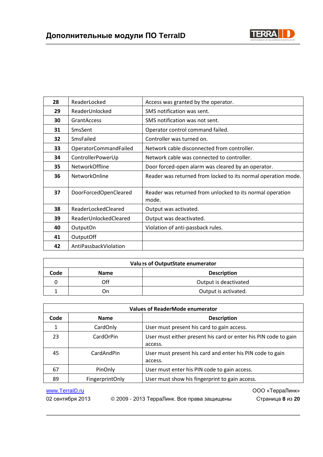

| 28 | ReaderLocked          | Access was granted by the operator.                                |
|----|-----------------------|--------------------------------------------------------------------|
| 29 | ReaderUnlocked        | SMS notification was sent.                                         |
| 30 | <b>GrantAccess</b>    | SMS notification was not sent.                                     |
| 31 | SmsSent               | Operator control command failed.                                   |
| 32 | SmsFailed             | Controller was turned on.                                          |
| 33 | OperatorCommandFailed | Network cable disconnected from controller.                        |
| 34 | ControllerPowerUp     | Network cable was connected to controller.                         |
| 35 | <b>NetworkOffline</b> | Door forced-open alarm was cleared by an operator.                 |
| 36 | <b>NetworkOnline</b>  | Reader was returned from locked to its normal operation mode.      |
| 37 | DoorForcedOpenCleared | Reader was returned from unlocked to its normal operation<br>mode. |
| 38 | ReaderLockedCleared   | Output was activated.                                              |
| 39 | ReaderUnlockedCleared | Output was deactivated.                                            |
| 40 | OutputOn              | Violation of anti-passback rules.                                  |
| 41 | OutputOff             |                                                                    |
| 42 | AntiPassbackViolation |                                                                    |

| Values of OutputState enumerator |             |                       |
|----------------------------------|-------------|-----------------------|
| Code                             | <b>Name</b> | <b>Description</b>    |
|                                  | Off         | Output is deactivated |
|                                  | Dп          | Output is activated.  |

| <b>Values of ReaderMode enumerator</b> |                        |                                                                            |
|----------------------------------------|------------------------|----------------------------------------------------------------------------|
| Code                                   | <b>Name</b>            | <b>Description</b>                                                         |
| 1                                      | CardOnly               | User must present his card to gain access.                                 |
| 23                                     | CardOrPin              | User must either present his card or enter his PIN code to gain<br>access. |
| 45                                     | CardAndPin             | User must present his card and enter his PIN code to gain<br>access.       |
| 67                                     | PinOnly                | User must enter his PIN code to gain access.                               |
| 89                                     | <b>FingerprintOnly</b> | User must show his fingerprint to gain access.                             |

02 сентября 2013 © 2009 - 2013 ТерраЛинк. Все права защищены Страница **8** из **20**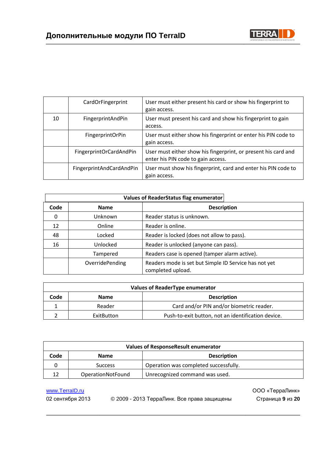

|    | CardOrFingerprint        | User must either present his card or show his fingerprint to<br>gain access.                         |
|----|--------------------------|------------------------------------------------------------------------------------------------------|
| 10 | FingerprintAndPin        | User must present his card and show his fingerprint to gain<br>access.                               |
|    | FingerprintOrPin         | User must either show his fingerprint or enter his PIN code to<br>gain access.                       |
|    | FingerprintOrCardAndPin  | User must either show his fingerprint, or present his card and<br>enter his PIN code to gain access. |
|    | FingerprintAndCardAndPin | User must show his fingerprint, card and enter his PIN code to<br>gain access.                       |

|          | Values of ReaderStatus flag enumerator |                                                                            |  |
|----------|----------------------------------------|----------------------------------------------------------------------------|--|
| Code     | <b>Name</b>                            | <b>Description</b>                                                         |  |
| $\Omega$ | Unknown                                | Reader status is unknown.                                                  |  |
| 12       | Online                                 | Reader is online.                                                          |  |
| 48       | Locked                                 | Reader is locked (does not allow to pass).                                 |  |
| 16       | Unlocked                               | Reader is unlocked (anyone can pass).                                      |  |
|          | Tampered                               | Readers case is opened (tamper alarm active).                              |  |
|          | OverridePending                        | Readers mode is set but Simple ID Service has not yet<br>completed upload. |  |

| Values of ReaderType enumerator           |            |                                                    |  |
|-------------------------------------------|------------|----------------------------------------------------|--|
| Code<br><b>Description</b><br><b>Name</b> |            |                                                    |  |
|                                           | Reader     | Card and/or PIN and/or biometric reader.           |  |
|                                           | ExitButton | Push-to-exit button, not an identification device. |  |

| Values of ResponseResult enumerator       |                          |                                       |  |
|-------------------------------------------|--------------------------|---------------------------------------|--|
| Code<br><b>Description</b><br><b>Name</b> |                          |                                       |  |
|                                           | <b>Success</b>           | Operation was completed successfully. |  |
| 12                                        | <b>OperationNotFound</b> | Unrecognized command was used.        |  |

02 сентября 2013 © 2009 - 2013 ТерраЛинк. Все права защищены Страница **9** из **20**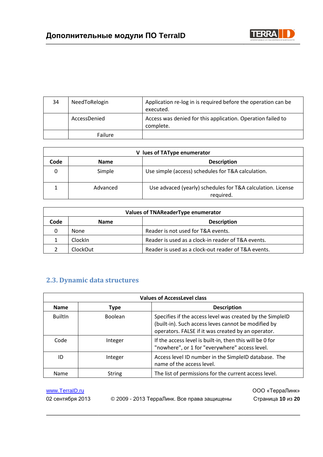

| 34 | NeedToRelogin | Application re-log in is required before the operation can be<br>executed. |
|----|---------------|----------------------------------------------------------------------------|
|    | AccessDenied  | Access was denied for this application. Operation failed to<br>complete.   |
|    | Failure       |                                                                            |

| lues of TAType enumerator                 |          |                                                                          |
|-------------------------------------------|----------|--------------------------------------------------------------------------|
| <b>Description</b><br>Code<br><b>Name</b> |          |                                                                          |
|                                           | Simple   | Use simple (access) schedules for T&A calculation.                       |
|                                           | Advanced | Use advaced (yearly) schedules for T&A calculation. License<br>required. |

| Values of TNAReaderType enumerator |                 |                                                     |  |
|------------------------------------|-----------------|-----------------------------------------------------|--|
| Code                               | <b>Name</b>     | <b>Description</b>                                  |  |
| 0                                  | None            | Reader is not used for T&A events.                  |  |
|                                    | <b>ClockIn</b>  | Reader is used as a clock-in reader of T&A events.  |  |
|                                    | <b>ClockOut</b> | Reader is used as a clock-out reader of T&A events. |  |

## <span id="page-9-0"></span>**2.3. Dynamic data structures**

| <b>Values of AccessLevel class</b>               |                |                                                                                                                                                                        |  |
|--------------------------------------------------|----------------|------------------------------------------------------------------------------------------------------------------------------------------------------------------------|--|
| <b>Description</b><br><b>Name</b><br><b>Type</b> |                |                                                                                                                                                                        |  |
| <b>BuiltIn</b>                                   | <b>Boolean</b> | Specifies if the access level was created by the SimpleID<br>(built-in). Such access leves cannot be modified by<br>operators. FALSE if it was created by an operator. |  |
| Code                                             | Integer        | If the access level is built-in, then this will be 0 for<br>"nowhere", or 1 for "everywhere" access level.                                                             |  |
| ID                                               | Integer        | Access level ID number in the SimpleID database. The<br>name of the access level.                                                                                      |  |
| Name                                             | <b>String</b>  | The list of permissions for the current access level.                                                                                                                  |  |

www.TerraID.ru **www.TerraID.ru** 2000 www.TerraID.ru 2000 www.TerraID.ru 2000 www.TerraID.ru

02 сентября 2013 © 2009 - 2013 ТерраЛинк. Все права защищены Страница **10** из **20**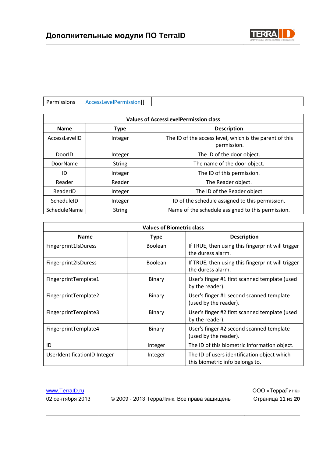

| AccessLevelPermission[] |
|-------------------------|
|-------------------------|

| <b>Values of AccessLevelPermission class</b> |               |                                                                        |  |  |
|----------------------------------------------|---------------|------------------------------------------------------------------------|--|--|
| <b>Name</b><br><b>Type</b>                   |               | <b>Description</b>                                                     |  |  |
| AccessLevelID                                | Integer       | The ID of the access level, which is the parent of this<br>permission. |  |  |
| DoorID                                       | Integer       | The ID of the door object.                                             |  |  |
| DoorName                                     | <b>String</b> | The name of the door object.                                           |  |  |
| ID                                           | Integer       | The ID of this permission.                                             |  |  |
| Reader                                       | Reader        | The Reader object.                                                     |  |  |
| ReaderID                                     | Integer       | The ID of the Reader object                                            |  |  |
| ScheduleID                                   | Integer       | ID of the schedule assigned to this permission.                        |  |  |
| ScheduleName                                 | <b>String</b> | Name of the schedule assigned to this permission.                      |  |  |

| <b>Values of Biometric class</b> |                |                                                                                |  |
|----------------------------------|----------------|--------------------------------------------------------------------------------|--|
| <b>Name</b>                      | <b>Type</b>    | <b>Description</b>                                                             |  |
| Fingerprint1IsDuress             | Boolean        | If TRUE, then using this fingerprint will trigger<br>the duress alarm.         |  |
| Fingerprint2IsDuress             | <b>Boolean</b> | If TRUE, then using this fingerprint will trigger<br>the duress alarm.         |  |
| FingerprintTemplate1             | Binary         | User's finger #1 first scanned template (used<br>by the reader).               |  |
| FingerprintTemplate2             | <b>Binary</b>  | User's finger #1 second scanned template<br>(used by the reader).              |  |
| FingerprintTemplate3             | <b>Binary</b>  | User's finger #2 first scanned template (used<br>by the reader).               |  |
| FingerprintTemplate4             | <b>Binary</b>  | User's finger #2 second scanned template<br>(used by the reader).              |  |
| ID                               | Integer        | The ID of this biometric information object.                                   |  |
| UserIdentificationID Integer     | Integer        | The ID of users identification object which<br>this biometric info belongs to. |  |

02 сентября 2013 © 2009 - 2013 ТерраЛинк. Все права защищены Страница **11** из **20**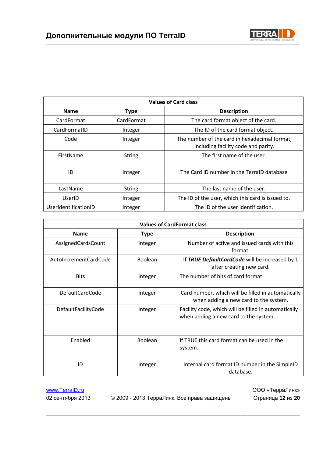

| <b>Values of Card class</b> |               |                                                                                      |  |
|-----------------------------|---------------|--------------------------------------------------------------------------------------|--|
| <b>Name</b>                 | <b>Type</b>   | <b>Description</b>                                                                   |  |
| CardFormat                  | CardFormat    | The card format object of the card.                                                  |  |
| CardFormatID                | Integer       | The ID of the card format object.                                                    |  |
| Code                        | Integer       | The number of the card in hexadecimal format,<br>including facility code and parity. |  |
| FirstName                   | <b>String</b> | The first name of the user.                                                          |  |
| ID                          | Integer       | The Card ID number in the TerralD database                                           |  |
| LastName                    | <b>String</b> | The last name of the user.                                                           |  |
| UserID                      | Integer       | The ID of the user, which this card is issued to.                                    |  |
| UserIdentificationID        | Integer       | The ID of the user identification.                                                   |  |

| <b>Values of CardFormat class</b> |                |                                                                                               |  |  |
|-----------------------------------|----------------|-----------------------------------------------------------------------------------------------|--|--|
| <b>Name</b>                       | <b>Type</b>    | <b>Description</b>                                                                            |  |  |
| AssignedCardsCount                | Integer        | Number of active and issued cards with this<br>format.                                        |  |  |
| AutoIncrementCardCode             | <b>Boolean</b> | If TRUE DefaultCardCode will be increased by 1<br>after creating new card.                    |  |  |
| <b>Bits</b>                       | Integer        | The number of bits of card format.                                                            |  |  |
| <b>DefaultCardCode</b>            | Integer        | Card number, which will be filled in automatically<br>when adding a new card to the system.   |  |  |
| DefaultFacilityCode               | Integer        | Facility code, which will be filled in automatically<br>when adding a new card to the system. |  |  |
| Enabled                           | Boolean        | If TRUE this card format can be used in the<br>system.                                        |  |  |
| ID                                | Integer        | Internal card format ID number in the SimpleID<br>database.                                   |  |  |

02 сентября 2013 © 2009 - 2013 ТерраЛинк. Все права защищены Страница **12** из **20**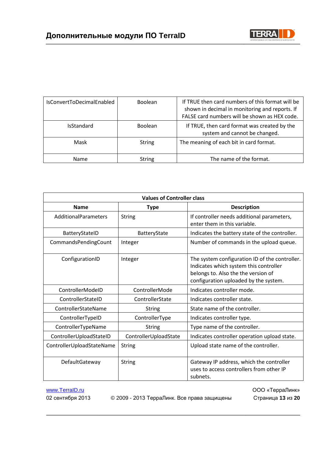

| IsConvertToDecimalEnabled | <b>Boolean</b> | If TRUE then card numbers of this format will be<br>shown in decimal in monitoring and reports. If<br>FALSE card numbers will be shown as HEX code. |
|---------------------------|----------------|-----------------------------------------------------------------------------------------------------------------------------------------------------|
| <b>IsStandard</b>         | <b>Boolean</b> | If TRUE, then card format was created by the<br>system and cannot be changed.                                                                       |
| Mask                      | <b>String</b>  | The meaning of each bit in card format.                                                                                                             |
| <b>Name</b>               | <b>String</b>  | The name of the format.                                                                                                                             |

| <b>Values of Controller class</b> |                       |                                                                                                                                                                          |  |
|-----------------------------------|-----------------------|--------------------------------------------------------------------------------------------------------------------------------------------------------------------------|--|
| <b>Name</b>                       | <b>Type</b>           | <b>Description</b>                                                                                                                                                       |  |
| AdditionalParameters              | <b>String</b>         | If controller needs additional parameters,<br>enter them in this variable.                                                                                               |  |
| BatteryStateID                    | BatteryState          | Indicates the battery state of the controller.                                                                                                                           |  |
| CommandsPendingCount              | Integer               | Number of commands in the upload queue.                                                                                                                                  |  |
| ConfigurationID                   | Integer               | The system configuration ID of the controller.<br>Indicates which system this controller<br>belongs to. Also the the version of<br>configuration uploaded by the system. |  |
| ControllerModeID                  | ControllerMode        | Indicates controller mode.                                                                                                                                               |  |
| ControllerStateID                 | ControllerState       | Indicates controller state.                                                                                                                                              |  |
| ControllerStateName               | <b>String</b>         | State name of the controller.                                                                                                                                            |  |
| ControllerTypeID                  | ControllerType        | Indicates controller type.                                                                                                                                               |  |
| ControllerTypeName                | <b>String</b>         | Type name of the controller.                                                                                                                                             |  |
| ControllerUploadStateID           | ControllerUploadState | Indicates controller operation upload state.                                                                                                                             |  |
| ControllerUploadStateName         | <b>String</b>         | Upload state name of the controller.                                                                                                                                     |  |
| DefaultGateway                    | <b>String</b>         | Gateway IP address, which the controller<br>uses to access controllers from other IP<br>subnets.                                                                         |  |

02 сентября 2013 © 2009 - 2013 ТерраЛинк. Все права защищены Страница **13** из **20**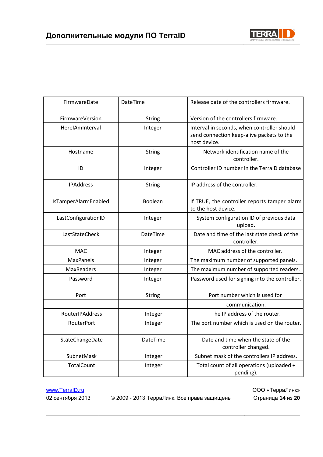

| FirmwareDate         | DateTime        | Release date of the controllers firmware.                                                                |
|----------------------|-----------------|----------------------------------------------------------------------------------------------------------|
| FirmwareVersion      | <b>String</b>   | Version of the controllers firmware.                                                                     |
| HerelAmInterval      | Integer         | Interval in seconds, when controller should<br>send connection keep-alive packets to the<br>host device. |
| Hostname             | <b>String</b>   | Network identification name of the<br>controller.                                                        |
| ID                   | Integer         | Controller ID number in the TerraID database                                                             |
| <b>IPAddress</b>     | <b>String</b>   | IP address of the controller.                                                                            |
| IsTamperAlarmEnabled | Boolean         | If TRUE, the controller reports tamper alarm<br>to the host device.                                      |
| LastConfigurationID  | Integer         | System configuration ID of previous data<br>upload.                                                      |
| LastStateCheck       | DateTime        | Date and time of the last state check of the<br>controller.                                              |
| <b>MAC</b>           | Integer         | MAC address of the controller.                                                                           |
| <b>MaxPanels</b>     | Integer         | The maximum number of supported panels.                                                                  |
| MaxReaders           | Integer         | The maximum number of supported readers.                                                                 |
| Password             | Integer         | Password used for signing into the controller.                                                           |
| Port                 | <b>String</b>   | Port number which is used for                                                                            |
|                      |                 | communication.                                                                                           |
| RouterIPAddress      | Integer         | The IP address of the router.                                                                            |
| RouterPort           | Integer         | The port number which is used on the router.                                                             |
| StateChangeDate      | <b>DateTime</b> | Date and time when the state of the<br>controller changed.                                               |
| SubnetMask           | Integer         | Subnet mask of the controllers IP address.                                                               |
| <b>TotalCount</b>    | Integer         | Total count of all operations (uploaded +<br>pending).                                                   |

02 сентября 2013 © 2009 - 2013 ТерраЛинк. Все права защищены Страница **14** из **20**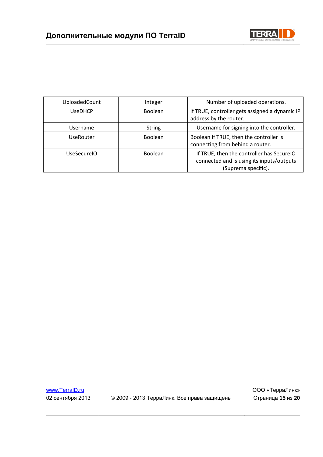



| UploadedCount      | Integer        | Number of uploaded operations.                                                                                |
|--------------------|----------------|---------------------------------------------------------------------------------------------------------------|
| <b>UseDHCP</b>     | <b>Boolean</b> | If TRUE, controller gets assigned a dynamic IP<br>address by the router.                                      |
| Username           | <b>String</b>  | Username for signing into the controller.                                                                     |
| UseRouter          | <b>Boolean</b> | Boolean If TRUE, then the controller is<br>connecting from behind a router.                                   |
| <b>UseSecureIO</b> | <b>Boolean</b> | If TRUE, then the controller has SecureIO<br>connected and is using its inputs/outputs<br>(Suprema specific). |

02 сентября 2013 © 2009 - 2013 ТерраЛинк. Все права защищены Страница **15** из **20**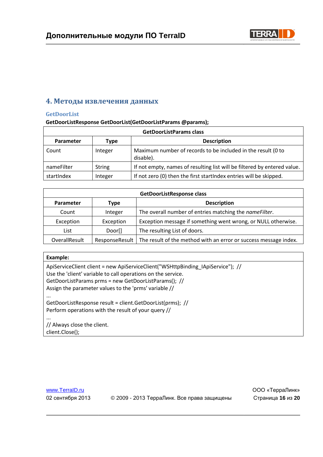

## <span id="page-15-0"></span>**4. Методы извлечения данных**

#### <span id="page-15-1"></span>**GetDoorList**

#### **GetDoorListResponse GetDoorList(GetDoorListParams @params);**

| <b>GetDoorListParams class</b> |         |                                                                           |
|--------------------------------|---------|---------------------------------------------------------------------------|
| Parameter                      | Type    | <b>Description</b>                                                        |
| Count                          | Integer | Maximum number of records to be included in the result (0 to<br>disable). |
| nameFilter                     | String  | If not empty, names of resulting list will be filtered by entered value.  |
| startIndex                     | Integer | If not zero (0) then the first startlndex entries will be skipped.        |

| <b>GetDoorListResponse class</b> |                |                                                                  |
|----------------------------------|----------------|------------------------------------------------------------------|
| <b>Parameter</b>                 | <b>Type</b>    | <b>Description</b>                                               |
| Count                            | Integer        | The overall number of entries matching the <i>nameFilter</i> .   |
| Exception                        | Exception      | Exception message if something went wrong, or NULL otherwise.    |
| List                             | Door[]         | The resulting List of doors.                                     |
| OverallResult                    | ResponseResult | The result of the method with an error or success message index. |

#### **Example:**

ApiServiceClient client = new ApiServiceClient("WSHttpBinding\_IApiService"); // Use the 'client' variable to call operations on the service. GetDoorListParams prms = new GetDoorListParams(); // Assign the parameter values to the 'prms' variable // ...

GetDoorListResponse result = client.GetDoorList(prms); // Perform operations with the result of your query //

... // Always close the client. client.Close();

02 сентября 2013 © 2009 - 2013 ТерраЛинк. Все права защищены Страница **16** из **20**

www.TerraID.ru **WWW.TerraID.ru** 2000 «ТерраЛинк»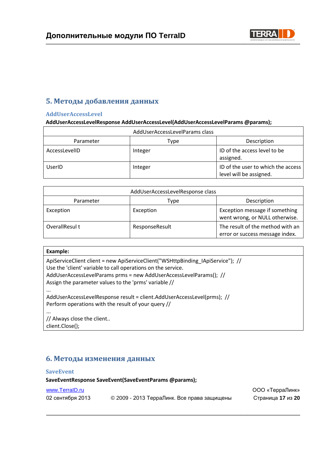

## <span id="page-16-0"></span>**5. Методы добавления данных**

#### <span id="page-16-1"></span>**AddUserAccessLevel**

#### **AddUserAccessLevelResponse AddUserAccessLevel(AddUserAccessLevelParams @params);**

| AddUserAccessLevelParams class |         |                                                               |  |
|--------------------------------|---------|---------------------------------------------------------------|--|
| Parameter                      | Type    | Description                                                   |  |
| AccessLevelID                  | Integer | ID of the access level to be<br>assigned.                     |  |
| UserID                         | Integer | ID of the user to which the access<br>level will be assigned. |  |

| AddUserAccessLevelResponse class |                |                                                                     |
|----------------------------------|----------------|---------------------------------------------------------------------|
| Parameter                        | Type           | Description                                                         |
| Exception                        | Exception      | Exception message if something<br>went wrong, or NULL otherwise.    |
| OverallResul t                   | ResponseResult | The result of the method with an<br>error or success message index. |

#### **Example:**

...

ApiServiceClient client = new ApiServiceClient("WSHttpBinding\_IApiService"); // Use the 'client' variable to call operations on the service. AddUserAccessLevelParams prms = new AddUserAccessLevelParams(); // Assign the parameter values to the 'prms' variable //

AddUserAccessLevelResponse result = client.AddUserAccessLevel(prms); // Perform operations with the result of your query //

... // Always close the client..

client.Close();

## <span id="page-16-2"></span>**6. Методы изменения данных**

#### <span id="page-16-3"></span>**SaveEvent**

**SaveEventResponse SaveEvent(SaveEventParams @params);** 

#### www.TerraID.ru ООО «ТерраЛинк»

| 02 сентября 2013 | © 2009 - 2013 ТерраЛинк. Все права защищены | Страница 17 из 20 |
|------------------|---------------------------------------------|-------------------|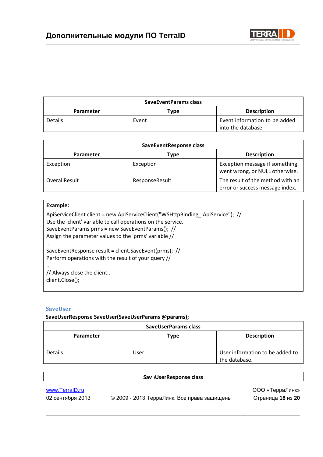

| <b>SaveEventParams class</b> |       |                                                     |
|------------------------------|-------|-----------------------------------------------------|
| Parameter                    | Type  | <b>Description</b>                                  |
| <b>Details</b>               | Event | Event information to be added<br>into the database. |

| SaveEventResponse class |                |                                                                     |  |
|-------------------------|----------------|---------------------------------------------------------------------|--|
| <b>Parameter</b>        | Type           | <b>Description</b>                                                  |  |
| Exception               | Exception      | Exception message if something<br>went wrong, or NULL otherwise.    |  |
| OverallResult           | ResponseResult | The result of the method with an<br>error or success message index. |  |

## **Example:**  ApiServiceClient client = new ApiServiceClient("WSHttpBinding\_IApiService"); // Use the 'client' variable to call operations on the service. SaveEventParams prms = new SaveEventParams(); // Assign the parameter values to the 'prms' variable // ... SaveEventResponse result = client.SaveEvent(prms); // Perform operations with the result of your query // ... // Always close the client.. client.Close();

#### <span id="page-17-0"></span>**SaveUser**

#### **SaveUserResponse SaveUser(SaveUserParams @params);**

| SaveUserParams class |                            |                                                  |
|----------------------|----------------------------|--------------------------------------------------|
| Parameter            | <b>Description</b><br>Type |                                                  |
| <b>Details</b>       | User                       | User information to be added to<br>the database. |

| <b>Sav : User Response class</b>   |                                             |                                      |
|------------------------------------|---------------------------------------------|--------------------------------------|
| www.TerralD.ru<br>02 сентября 2013 | © 2009 - 2013 ТерраЛинк. Все права защищены | ООО «ТерраЛинк»<br>Страница 18 из 20 |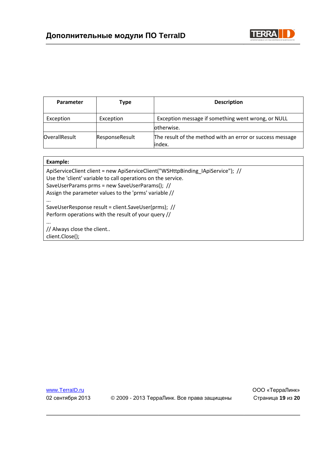

| Parameter            | Type           | <b>Description</b>                                                   |
|----------------------|----------------|----------------------------------------------------------------------|
| Exception            | Exception      | Exception message if something went wrong, or NULL                   |
|                      |                | otherwise.                                                           |
| <b>OverallResult</b> | ResponseResult | The result of the method with an error or success message<br>lindex. |

| Example:                                                                                                                                                                                                                                                   |
|------------------------------------------------------------------------------------------------------------------------------------------------------------------------------------------------------------------------------------------------------------|
| ApiServiceClient client = new ApiServiceClient("WSHttpBinding IApiService"); //<br>Use the 'client' variable to call operations on the service.<br>SaveUserParams prms = new SaveUserParams(); //<br>Assign the parameter values to the 'prms' variable // |
| $\cdots$<br>SaveUserResponse result = client.SaveUser(prms); //<br>Perform operations with the result of your query //                                                                                                                                     |
| $\cdots$<br>// Always close the client<br>client.Close();                                                                                                                                                                                                  |

02 сентября 2013 © 2009 - 2013 ТерраЛинк. Все права защищены Страница **19** из **20**